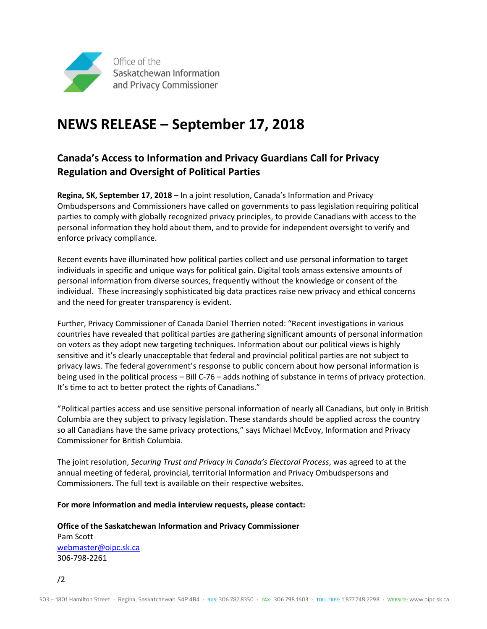

## **NEWS RELEASE – September 17, 2018**

## **Canada's Access to Information and Privacy Guardians Call for Privacy Regulation and Oversight of Political Parties**

**Regina, SK, September 17, 2018** – In a joint resolution, Canada's Information and Privacy Ombudspersons and Commissioners have called on governments to pass legislation requiring political parties to comply with globally recognized privacy principles, to provide Canadians with access to the personal information they hold about them, and to provide for independent oversight to verify and enforce privacy compliance.

Recent events have illuminated how political parties collect and use personal information to target individuals in specific and unique ways for political gain. Digital tools amass extensive amounts of personal information from diverse sources, frequently without the knowledge or consent of the individual. These increasingly sophisticated big data practices raise new privacy and ethical concerns and the need for greater transparency is evident.

Further, Privacy Commissioner of Canada Daniel Therrien noted: "Recent investigations in various countries have revealed that political parties are gathering significant amounts of personal information on voters as they adopt new targeting techniques. Information about our political views is highly sensitive and it's clearly unacceptable that federal and provincial political parties are not subject to privacy laws. The federal government's response to public concern about how personal information is being used in the political process – Bill C-76 – adds nothing of substance in terms of privacy protection. It's time to act to better protect the rights of Canadians."

"Political parties access and use sensitive personal information of nearly all Canadians, but only in British Columbia are they subject to privacy legislation. These standards should be applied across the country so all Canadians have the same privacy protections," says Michael McEvoy, Information and Privacy Commissioner for British Columbia.

The joint resolution, *Securing Trust and Privacy in Canada's Electoral Process*, was agreed to at the annual meeting of federal, provincial, territorial Information and Privacy Ombudspersons and Commissioners. The full text is available on their respective websites.

**For more information and media interview requests, please contact:**

**Office of the Saskatchewan Information and Privacy Commissioner** Pam Scott [webmaster@oipc.sk.ca](mailto:webmaster@oipc.sk.ca) 306-798-2261